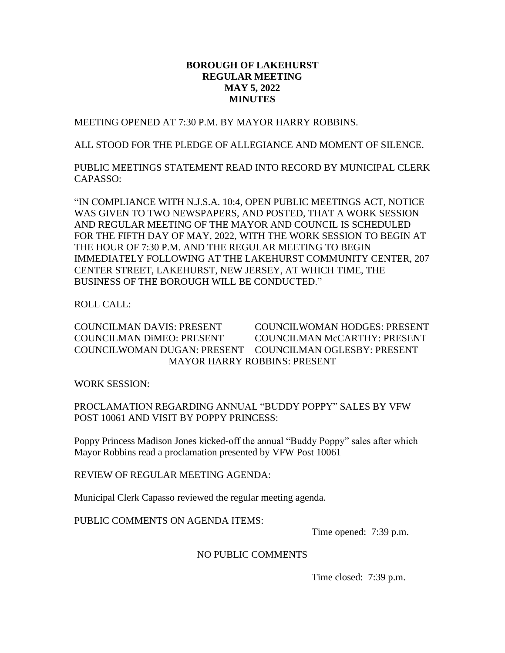## **BOROUGH OF LAKEHURST REGULAR MEETING MAY 5, 2022 MINUTES**

MEETING OPENED AT 7:30 P.M. BY MAYOR HARRY ROBBINS.

ALL STOOD FOR THE PLEDGE OF ALLEGIANCE AND MOMENT OF SILENCE.

PUBLIC MEETINGS STATEMENT READ INTO RECORD BY MUNICIPAL CLERK CAPASSO:

"IN COMPLIANCE WITH N.J.S.A. 10:4, OPEN PUBLIC MEETINGS ACT, NOTICE WAS GIVEN TO TWO NEWSPAPERS, AND POSTED, THAT A WORK SESSION AND REGULAR MEETING OF THE MAYOR AND COUNCIL IS SCHEDULED FOR THE FIFTH DAY OF MAY, 2022, WITH THE WORK SESSION TO BEGIN AT THE HOUR OF 7:30 P.M. AND THE REGULAR MEETING TO BEGIN IMMEDIATELY FOLLOWING AT THE LAKEHURST COMMUNITY CENTER, 207 CENTER STREET, LAKEHURST, NEW JERSEY, AT WHICH TIME, THE BUSINESS OF THE BOROUGH WILL BE CONDUCTED."

ROLL CALL:

COUNCILMAN DAVIS: PRESENT COUNCILWOMAN HODGES: PRESENT COUNCILMAN DiMEO: PRESENT COUNCILMAN McCARTHY: PRESENT COUNCILWOMAN DUGAN: PRESENT COUNCILMAN OGLESBY: PRESENT MAYOR HARRY ROBBINS: PRESENT

WORK SESSION:

PROCLAMATION REGARDING ANNUAL "BUDDY POPPY" SALES BY VFW POST 10061 AND VISIT BY POPPY PRINCESS:

Poppy Princess Madison Jones kicked-off the annual "Buddy Poppy" sales after which Mayor Robbins read a proclamation presented by VFW Post 10061

REVIEW OF REGULAR MEETING AGENDA:

Municipal Clerk Capasso reviewed the regular meeting agenda.

PUBLIC COMMENTS ON AGENDA ITEMS:

Time opened: 7:39 p.m.

## NO PUBLIC COMMENTS

Time closed: 7:39 p.m.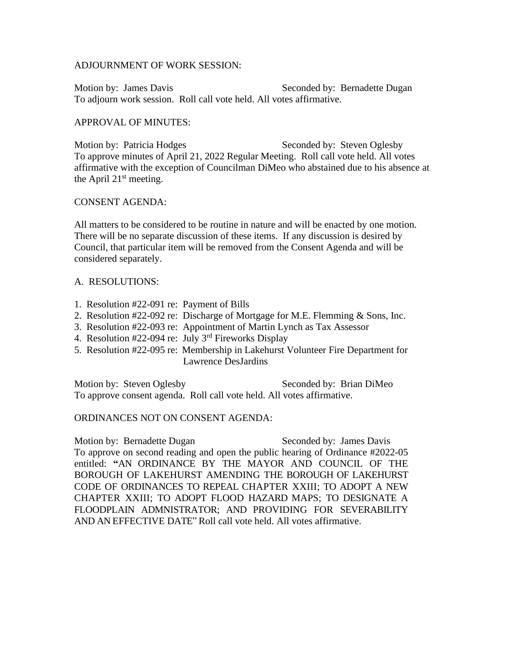#### ADJOURNMENT OF WORK SESSION:

Motion by: James Davis The Seconded by: Bernadette Dugan To adjourn work session. Roll call vote held. All votes affirmative.

### APPROVAL OF MINUTES:

Motion by: Patricia Hodges Seconded by: Steven Oglesby To approve minutes of April 21, 2022 Regular Meeting. Roll call vote held. All votes affirmative with the exception of Councilman DiMeo who abstained due to his absence at the April  $21<sup>st</sup>$  meeting.

#### CONSENT AGENDA:

All matters to be considered to be routine in nature and will be enacted by one motion. There will be no separate discussion of these items. If any discussion is desired by Council, that particular item will be removed from the Consent Agenda and will be considered separately.

## A. RESOLUTIONS:

- 1. Resolution #22-091 re: Payment of Bills
- 2. Resolution #22-092 re: Discharge of Mortgage for M.E. Flemming & Sons, Inc.
- 3. Resolution #22-093 re: Appointment of Martin Lynch as Tax Assessor
- 4. Resolution #22-094 re: July  $3<sup>rd</sup>$  Fireworks Display
- 5. Resolution #22-095 re: Membership in Lakehurst Volunteer Fire Department for Lawrence DesJardins

Motion by: Steven Oglesby Seconded by: Brian DiMeo To approve consent agenda. Roll call vote held. All votes affirmative.

ORDINANCES NOT ON CONSENT AGENDA:

Motion by: Bernadette Dugan Seconded by: James Davis To approve on second reading and open the public hearing of Ordinance #2022-05 entitled: **"**AN ORDINANCE BY THE MAYOR AND COUNCIL OF THE BOROUGH OF LAKEHURST AMENDING THE BOROUGH OF LAKEHURST CODE OF ORDINANCES TO REPEAL CHAPTER XXIII; TO ADOPT A NEW CHAPTER XXIII; TO ADOPT FLOOD HAZARD MAPS; TO DESIGNATE A FLOODPLAIN ADMNISTRATOR; AND PROVIDING FOR SEVERABILITY AND AN EFFECTIVE DATE" Roll call vote held. All votes affirmative.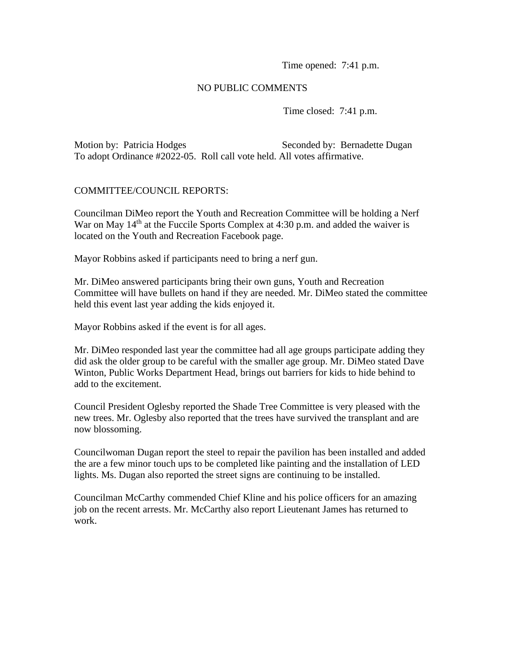Time opened: 7:41 p.m.

# NO PUBLIC COMMENTS

Time closed: 7:41 p.m.

Motion by: Patricia Hodges Seconded by: Bernadette Dugan To adopt Ordinance #2022-05. Roll call vote held. All votes affirmative.

# COMMITTEE/COUNCIL REPORTS:

Councilman DiMeo report the Youth and Recreation Committee will be holding a Nerf War on May  $14<sup>th</sup>$  at the Fuccile Sports Complex at 4:30 p.m. and added the waiver is located on the Youth and Recreation Facebook page.

Mayor Robbins asked if participants need to bring a nerf gun.

Mr. DiMeo answered participants bring their own guns, Youth and Recreation Committee will have bullets on hand if they are needed. Mr. DiMeo stated the committee held this event last year adding the kids enjoyed it.

Mayor Robbins asked if the event is for all ages.

Mr. DiMeo responded last year the committee had all age groups participate adding they did ask the older group to be careful with the smaller age group. Mr. DiMeo stated Dave Winton, Public Works Department Head, brings out barriers for kids to hide behind to add to the excitement.

Council President Oglesby reported the Shade Tree Committee is very pleased with the new trees. Mr. Oglesby also reported that the trees have survived the transplant and are now blossoming.

Councilwoman Dugan report the steel to repair the pavilion has been installed and added the are a few minor touch ups to be completed like painting and the installation of LED lights. Ms. Dugan also reported the street signs are continuing to be installed.

Councilman McCarthy commended Chief Kline and his police officers for an amazing job on the recent arrests. Mr. McCarthy also report Lieutenant James has returned to work.